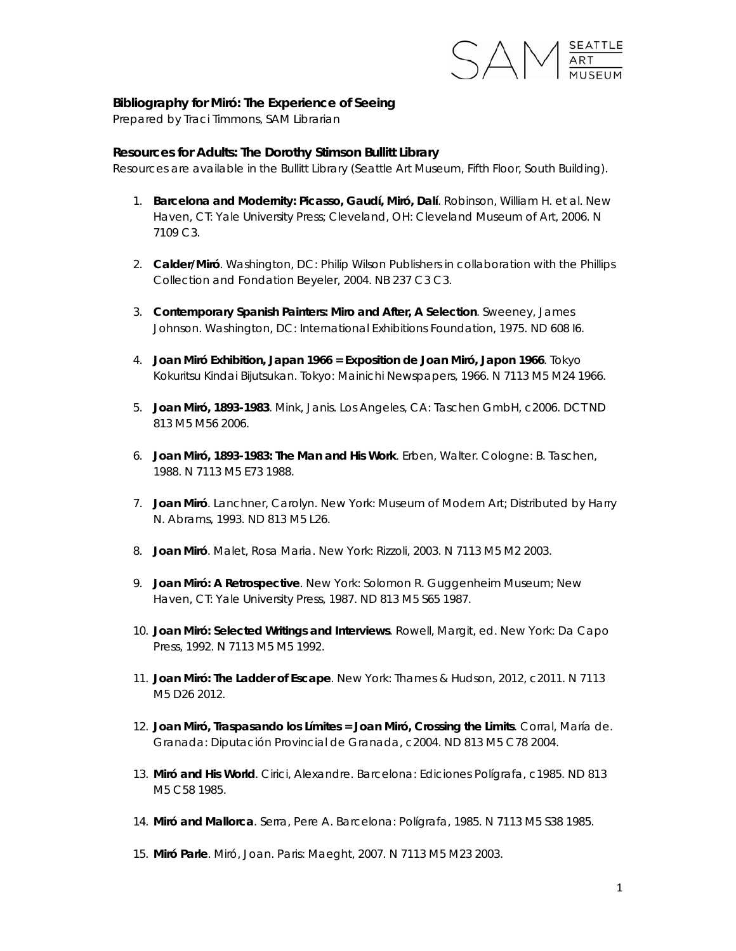

## **Bibliography for** *Miró: The Experience of Seeing*

Prepared by Traci Timmons, SAM Librarian

## **Resources for Adults: The Dorothy Stimson Bullitt Library**

*Resources are available in the Bullitt Library (Seattle Art Museum, Fifth Floor, South Building).* 

- 1. **Barcelona and Modernity: Picasso, Gaudí, Miró, Dalí**. Robinson, William H. et al. New Haven, CT: Yale University Press; Cleveland, OH: Cleveland Museum of Art, 2006. N 7109 C3.
- 2. **Calder/Miró**. Washington, DC: Philip Wilson Publishers in collaboration with the Phillips Collection and Fondation Beyeler, 2004. NB 237 C3 C3.
- 3. **Contemporary Spanish Painters: Miro and After, A Selection**. Sweeney, James Johnson. Washington, DC: International Exhibitions Foundation, 1975. ND 608 I6.
- 4. **Joan Miró Exhibition, Japan 1966 = Exposition de Joan Miró, Japon 1966**. Tokyo Kokuritsu Kindai Bijutsukan. Tokyo: Mainichi Newspapers, 1966. N 7113 M5 M24 1966.
- 5. **Joan Miró, 1893-1983**. Mink, Janis. Los Angeles, CA: Taschen GmbH, c2006. DCT ND 813 M5 M56 2006.
- 6. **Joan Miró, 1893-1983: The Man and His Work**. Erben, Walter. Cologne: B. Taschen, 1988. N 7113 M5 E73 1988.
- 7. **Joan Miró**. Lanchner, Carolyn. New York: Museum of Modern Art; Distributed by Harry N. Abrams, 1993. ND 813 M5 L26.
- 8. **Joan Miró**. Malet, Rosa Maria. New York: Rizzoli, 2003. N 7113 M5 M2 2003.
- 9. **Joan Miró: A Retrospective**. New York: Solomon R. Guggenheim Museum; New Haven, CT: Yale University Press, 1987. ND 813 M5 S65 1987.
- 10. **Joan Miró: Selected Writings and Interviews**. Rowell, Margit, ed. New York: Da Capo Press, 1992. N 7113 M5 M5 1992.
- 11. **Joan Miró: The Ladder of Escape**. New York: Thames & Hudson, 2012, c2011. N 7113 M5 D26 2012.
- 12. **Joan Miró, Traspasando los Límites = Joan Miró, Crossing the Limits**. Corral, María de. Granada: Diputación Provincial de Granada, c2004. ND 813 M5 C78 2004.
- 13. **Miró and His World**. Cirici, Alexandre. Barcelona: Ediciones Polígrafa, c1985. ND 813 M5 C58 1985.
- 14. **Miró and Mallorca**. Serra, Pere A. Barcelona: Polígrafa, 1985. N 7113 M5 S38 1985.
- 15. **Miró Parle**. Miró, Joan. Paris: Maeght, 2007. N 7113 M5 M23 2003.